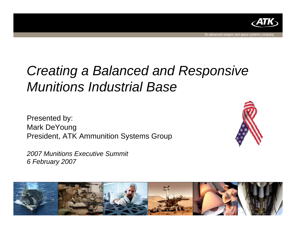

An advanced weapon and space systems company

# *Creating a Balanced and Responsive Munitions Industrial Base*

Presented by: Mark DeYoung President, ATK Ammunition Systems Group

*2007 Munitions Executive Summit 6 February 2007*



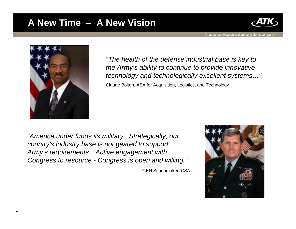### **A New Time – A New Vision**



An advanced weapon and space systems company



*"The health of the defense industrial base is key to the Army's ability to continue to provide innovative technology and technologically excellent systems…"*

Claude Bolton, ASA for Acquisition, Logistics, and Technology

*"America under funds its military. Strategically, our country's industry base is not geared to support Army's requirements…Active engagement with Congress to resource - Congress is open and willing."*

GEN Schoomaker, CSA

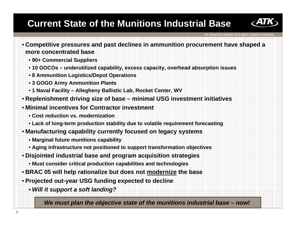## **Current State of the Munitions Industrial Base**



In advanced weapon and space

• **Competitive pressures and past declines in ammunition procurement have shaped a more concentrated base**• **90+ Commercial Suppliers** • **10 GOCOs – underutilized capability, excess capacity, overhead absorption issues** • **8 Ammunition Logistics/Depot Operations** • **3 GOGO Army Ammunition Plants** • **1 Naval Facility – Allegheny Ballistic Lab, Rocket Center, WV** • **Replenishment driving size of base – minimal USG investment initiatives** • **Minimal incentives for Contractor investment** • **Cost reduction vs. modernization**• **Lack of long-term production stability due to volatile requirement forecasting** • **Manufacturing capability currently focused on legacy systems** • **Marginal future munitions capability** • **Aging infrastructure not positioned to support transformation objectives** • **Disjointed industrial base and program acquisition strategies** • **Must consider critical production capabilities and technologies**  • **BRAC 05 will help rationalize but does not modernize the base** • **Projected out-year USG funding expected to decline** • *Will it support a soft landing? We must plan the objective state of the munitions industrial base – now!*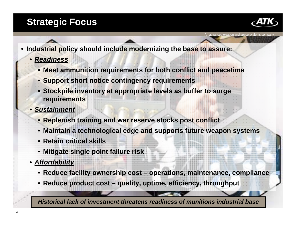### **Strategic Focus**



An advanced weapon and space systems company

• **Industrial policy should include modernizing the base to assure:**

- *Readiness*
	- **Meet ammunition requirements for both conflict and peacetime**
	- **Support short notice contingency requirements**
	- **Stockpile inventory at appropriate levels as buffer to surge requirements**
- *Sustainment*
	- **Replenish training and war reserve stocks post conflict**
	- **Maintain a technological edge and supports future weapon systems**
	- **Retain critical skills**
	- **Mitigate single point failure risk**
- *Affordability*
	- **Reduce facility ownership cost – operations, maintenance, compliance**
	- **Reduce product cost – quality, uptime, efficiency, throughput**

*Historical lack of investment threatens readiness of munitions industrial base*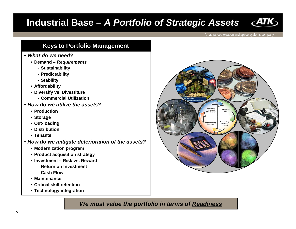### **Industrial Base –** *A Portfolio of Strategic Assets*



An advanced weapon and space systems company

### **Keys to Portfolio Management**

#### • *What do we need?*

- **Demand –** *Requirements*
	- **Sustainability**
	- **Predictability**
	- **Stability**
- **Affordability**
- **Diversify vs. Divestiture**
	- **Commercial Utilization**
- *How do we utilize the assets?*
	- **Production**
	- **Storage**
	- **Out-loading**
	- **Distribution**
	- **Tenants**
- *How do we mitigate deterioration of the assets?*
	- **Modernization program**
	- **Product acquisition strategy**
	- **Investment – Risk vs. Reward** 
		- **Return on Investment**
		- **Cash Flow**
	- **Maintenance**
	- **Critical skill retention**
	- **Technology integration**

*We must value the portfolio in terms of Readiness*

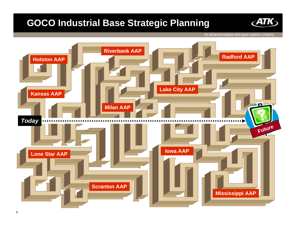### **GOCO Industrial Base Strategic Planning**



An advanced weapon and space systems company

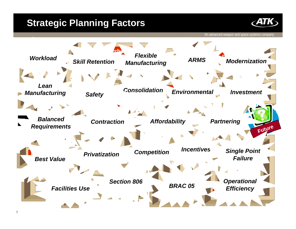### **Strategic Planning Factors**



An advanced weapon and space systems company

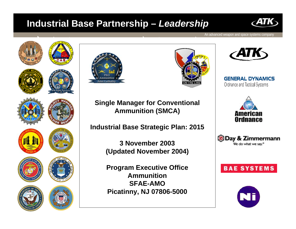### **Industrial Base Partnership –** *Leadership*



An advanced weapon and space systems company





**Lake City AAP** *ARMS*

**Milan AAPSingle Manager for Conventional Ammunition (SMCA)** 

**Industrial Base Strategic Plan: 2015**

**Integral Adventures (Updated November 2004) 3 November 2003**

> *Section 806***SFAE-AMOProgram Executive Office AmmunitionPicatinny, NJ 07806-5000**



**GENERAL DYNAMICS** Ordnance and Tactical Systems







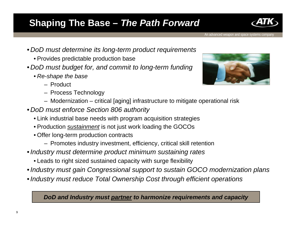### **Shaping The Base –** *The Path Forward*

- *DoD must determine its long-term product requirements*
	- Provides predictable production base
- *DoD must budget for, and commit to long-term funding* 
	- *Re-shape the base*
		- Product
		- Process Technology
		- Modernization critical [aging] infrastructure to mitigate operational risk
- *DoD must enforce Section 806 authority* 
	- Link industrial base needs with program acquisition strategies
	- Production *sustainment* is not just work loading the GOCOs
	- Offer long-term production contracts
		- Promotes industry investment, efficiency, critical skill retention
- •*Industry must determine product minimum sustaining rates*
	- Leads to right sized sustained capacity with surge flexibility
- •*Industry must gain Congressional support to sustain GOCO modernization plans*
- •*Industry must reduce Total Ownership Cost through efficient operations*

*DoD and Industry must partner to harmonize requirements and capacity*



An advanced weapon and space systems company